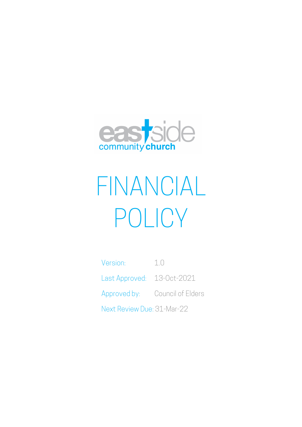

# FINANCIAL POLICY

Version: 1.0 Last Approved: 13-Oct-2021 Approved by: Council of Elders Next Review Due: 31-Mar-22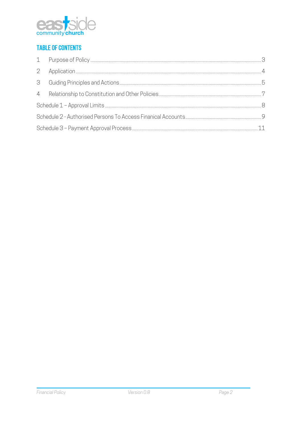

# **TABLE OF CONTENTS**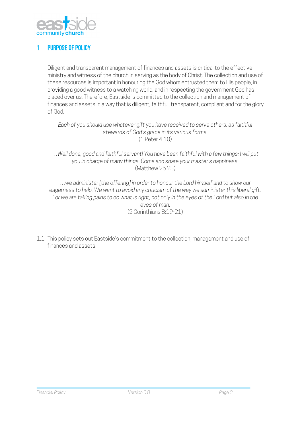

# 1 Purpose of Policy

Diligent and transparent management of finances and assets is critical to the effective ministry and witness of the church in serving as the body of Christ. The collection and use of these resources is important in honouring the God whom entrusted them to His people, in providing a good witness to a watching world, and in respecting the government God has placed over us. Therefore, Eastside is committed to the collection and management of finances and assets in a way that is diligent, faithful, transparent, compliant and for the glory of God.

*Each of you should use whatever gift you have received to serve others, as faithful stewards of God's grace in its various forms.* (1 Peter 4:10)

…*Well done, good and faithful servant! You have been faithful with a few things; I will put you in charge of many things. Come and share your master's happiness.* (Matthew 25:23)

…*we administer [the offering] in order to honour the Lord himself and to show our eagerness to help. We want to avoid any criticism of the way we administer this liberal gift. For we are taking pains to do what is right, not only in the eyes of the Lord but also in the eyes of man.* (2 Corinthians 8:19-21)

1.1 This policy sets out Eastside's commitment to the collection, management and use of finances and assets.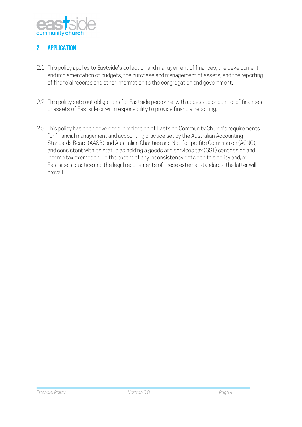

# 2 **APPLICATION**

- 2.1 This policy applies to Eastside's collection and management of finances, the development and implementation of budgets, the purchase and management of assets, and the reporting of financial records and other information to the congregation and government.
- 2.2 This policy sets out obligations for Eastside personnel with access to or control of finances or assets of Eastside or with responsibility to provide financial reporting.
- 2.3 This policy has been developed in reflection of Eastside Community Church's requirements for financial management and accounting practice set by the Australian Accounting Standards Board (AASB) and Australian Charities and Not-for-profits Commission (ACNC), and consistent with its status as holding a goods and services tax (GST) concession and income tax exemption. To the extent of any inconsistency between this policy and/or Eastside's practice and the legal requirements of these external standards, the latter will prevail.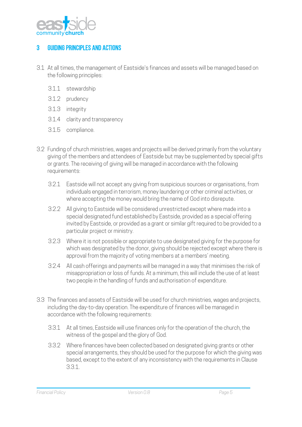

## 3 Guiding Principles and Actions

- 3.1 At all times, the management of Eastside's finances and assets will be managed based on the following principles:
	- 3.1.1 stewardship
	- 3.1.2 prudency
	- 3.1.3 integrity
	- 3.1.4 clarity and transparency
	- 3.1.5 compliance.
- 3.2 Funding of church ministries, wages and projects will be derived primarily from the voluntary giving of the members and attendees of Eastside but may be supplemented by special gifts or grants. The receiving of giving will be managed in accordance with the following requirements:
	- 3.2.1 Eastside will not accept any giving from suspicious sources or organisations, from individuals engaged in terrorism, money laundering or other criminal activities, or where accepting the money would bring the name of God into disrepute.
	- 3.2.2 All giving to Eastside will be considered unrestricted except where made into a special designated fund established by Eastside, provided as a special offering invited by Eastside, or provided as a grant or similar gift required to be provided to a particular project or ministry.
	- 3.2.3 Where it is not possible or appropriate to use designated giving for the purpose for which was designated by the donor, giving should be rejected except where there is approval from the majority of voting members at a members' meeting.
	- 3.2.4 All cash offerings and payments will be managed in a way that minimises the risk of misappropriation or loss of funds. At a minimum, this will include the use of at least two people in the handling of funds and authorisation of expenditure.
- 3.3 The finances and assets of Eastside will be used for church ministries, wages and projects, including the day-to-day operation. The expenditure of finances will be managed in accordance with the following requirements:
	- 3.3.1 At all times, Eastside will use finances only for the operation of the church, the witness of the gospel and the glory of God.
	- 3.3.2 Where finances have been collected based on designated giving grants or other special arrangements, they should be used for the purpose for which the giving was based, except to the extent of any inconsistency with the requirements in Clause 3.3.1.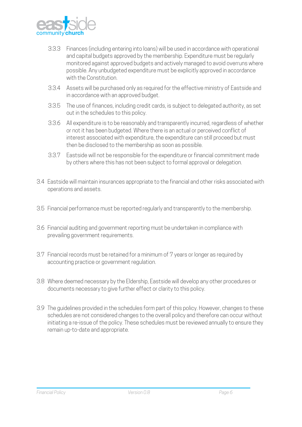

- 3.3.3 Finances (including entering into loans) will be used in accordance with operational and capital budgets approved by the membership. Expenditure must be regularly monitored against approved budgets and actively managed to avoid overruns where possible. Any unbudgeted expenditure must be explicitly approved in accordance with the Constitution.
- 3.3.4 Assets will be purchased only as required for the effective ministry of Eastside and in accordance with an approved budget.
- 3.3.5 The use of finances, including credit cards, is subject to delegated authority, as set out in the schedules to this policy.
- 3.3.6 All expenditure is to be reasonably and transparently incurred, regardless of whether or not it has been budgeted. Where there is an actual or perceived conflict of interest associated with expenditure, the expenditure can still proceed but must then be disclosed to the membership as soon as possible.
- 3.3.7 Eastside will not be responsible for the expenditure or financial commitment made by others where this has not been subject to formal approval or delegation.
- 3.4 Eastside will maintain insurances appropriate to the financial and other risks associated with operations and assets.
- 3.5 Financial performance must be reported regularly and transparently to the membership.
- 3.6 Financial auditing and government reporting must be undertaken in compliance with prevailing government requirements.
- 3.7 Financial records must be retained for a minimum of 7 years or longer as required by accounting practice or government regulation.
- 3.8 Where deemed necessary by the Eldership, Eastside will develop any other procedures or documents necessary to give further effect or clarity to this policy.
- 3.9 The guidelines provided in the schedules form part of this policy. However, changes to these schedules are not considered changes to the overall policy and therefore can occur without initiating a re-issue of the policy. These schedules must be reviewed annually to ensure they remain up-to-date and appropriate.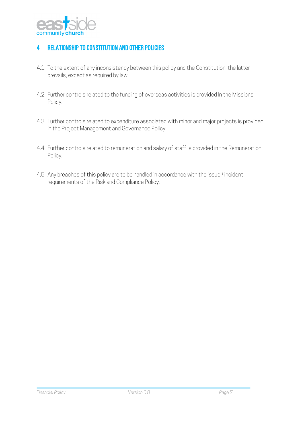

# 4 Relationship to Constitution and Other Policies

- 4.1 To the extent of any inconsistency between this policy and the Constitution, the latter prevails, except as required by law.
- 4.2 Further controls related to the funding of overseas activities is provided In the Missions Policy.
- 4.3 Further controls related to expenditure associated with minor and major projects is provided in the Project Management and Governance Policy.
- 4.4 Further controls related to remuneration and salary of staff is provided in the Remuneration Policy.
- 4.5 Any breaches of this policy are to be handled in accordance with the issue / incident requirements of the Risk and Compliance Policy.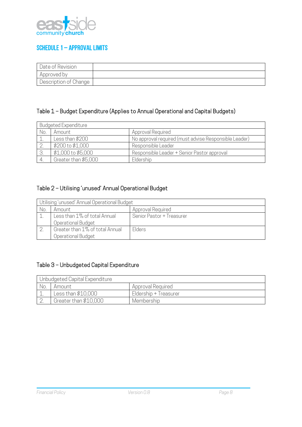

### Schedule 1 – Approval Limits

| Date of Revision      |  |
|-----------------------|--|
| Approved by           |  |
| Description of Change |  |

# Table 1 – Budget Expenditure (Applies to Annual Operational and Capital Budgets)

|     | <b>Budgeted Expenditure</b> |                                                       |  |  |  |
|-----|-----------------------------|-------------------------------------------------------|--|--|--|
| No. | Amount                      | Approval Required                                     |  |  |  |
|     | Less than \$200             | No approval required (must advise Responsible Leader) |  |  |  |
|     | \$200 to \$1,000            | Responsible Leader                                    |  |  |  |
|     | \$1,000 to \$5,000          | Responsible Leader + Senior Pastor approval           |  |  |  |
|     | Greater than \$5,000        | Eldership                                             |  |  |  |

# Table 2 – Utilising 'unused' Annual Operational Budget

|     | Utilising 'unused' Annual Operational Budget          |                           |  |  |
|-----|-------------------------------------------------------|---------------------------|--|--|
| No. | Amount                                                | Approval Required         |  |  |
|     | Less than 1% of total Annual<br>Operational Budget    | Senior Pastor + Treasurer |  |  |
|     | Greater than 1% of total Annual<br>Operational Budget | Elders                    |  |  |

# Table 3 – Unbudgeted Capital Expenditure

|     | Unbudgeted Capital Expenditure |                       |  |  |  |
|-----|--------------------------------|-----------------------|--|--|--|
| No. | Amount                         | Approval Required     |  |  |  |
|     | Less than \$10,000             | Eldership + Treasurer |  |  |  |
|     | Greater than \$10,000          | Membership            |  |  |  |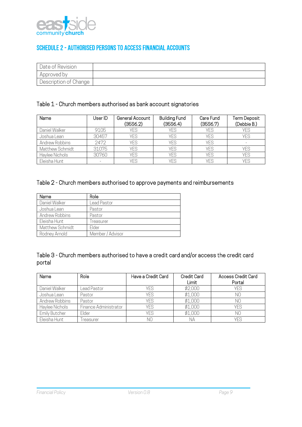

# Schedule 2 - Authorised Persons To Access Financial Accounts

| Date of Revision      |  |
|-----------------------|--|
| Approved by           |  |
| Description of Change |  |

#### Table 1 - Church members authorised as bank account signatories

| Name            | User ID | General Account<br>(35S6.2) | <b>Building Fund</b><br>(35S6.4) | Care Fund<br>(35S6.7) | Term Deposit<br>(Debbie B.) |
|-----------------|---------|-----------------------------|----------------------------------|-----------------------|-----------------------------|
| Daniel Walker   | 9105    | YES                         | YFS                              | <b>YFS</b>            | <b>YES</b>                  |
| Joshua Lean     | 30457   | YES                         | YES                              | <b>YFS</b>            | <b>YES</b>                  |
| Andrew Robbins  | 2472    | YES                         | YES                              | <b>YFS</b>            |                             |
| Matthew Schmidt | 31075   | <b>YES</b>                  | <b>YES</b>                       | <b>YES</b>            | YFS                         |
| Haylee Nichols  | 30760   | YES                         | <b>YES</b>                       | <b>YES</b>            | <b>YES</b>                  |
| Eleisha Hunt    |         | YES                         | YFS                              | <b>YFS</b>            | YFS                         |

#### Table 2 - Church members authorised to approve payments and reimbursements

| Name            | Role             |
|-----------------|------------------|
| Daniel Walker   | Lead Pastor      |
| Joshua Lean     | Pastor           |
| Andrew Robbins  | Pastor           |
| Eleisha Hunt    | Treasurer        |
| Matthew Schmidt | Flder            |
| Rodney Arnold   | Member / Advisor |

#### Table 3 - Church members authorised to have a credit card and/or access the credit card portal

| Name           | Role                  | Have a Credit Card | Credit Card | Access Credit Card |
|----------------|-----------------------|--------------------|-------------|--------------------|
|                |                       |                    | Limit       | Portal             |
| Daniel Walker  | Lead Pastor           | YFS                | \$2,000     | YFS                |
| Joshua Lean    | Pastor                | YES                | \$1,000     | NO                 |
| Andrew Robbins | Pastor                | YES                | \$1,000     | N0                 |
| Haylee Nichols | Finance Administrator | YES                | \$1,000     | YES                |
| Emily Butcher  | Elder                 | YES                | \$1,000     | N0                 |
| Eleisha Hunt   | reasurer              | NΟ                 | <b>NA</b>   | YES                |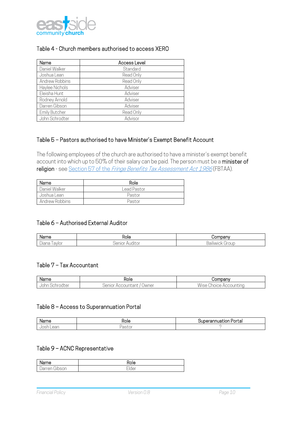

#### Table 4 - Church members authorised to access XERO

| Name                 | Access Level |
|----------------------|--------------|
| Daniel Walker        | Standard     |
| Joshua Lean          | Read Only    |
| Andrew Robbins       | Read Only    |
| Haylee Nichols       | Adviser      |
| Eleisha Hunt         | Adviser      |
| Rodney Arnold        | Adviser      |
| Darren Gibson        | Adviser      |
| <b>Emily Butcher</b> | Read Only    |
| John Schrodter       | Advisor      |

#### Table 5 – Pastors authorised to have Minister's Exempt Benefit Account

The following employees of the church are authorised to have a minister's exempt benefit account into which up to 50% of their salary can be paid. The person must be a minister of religion - see Section 57 of the Fringe Benefits Tax Assessment Act 1986 (FBTAA).

| Name           | Role        |
|----------------|-------------|
| Daniel Walker  | Lead Pastor |
| Joshua Lean    | Pastor      |
| Andrew Robbins | Pastor      |

#### Table 6 – Authorised External Auditor

| Name                                         | -<br>Role | 'omnany                  |
|----------------------------------------------|-----------|--------------------------|
| $\overline{\phantom{a}}$<br>. avlor<br>Jiana | ш         | -<br>$\sim$<br>ٮ<br>1111 |

#### Table 7 – Tax Accountant

| Name                                | Role                                                                 | Jompan∨                                                                                          |
|-------------------------------------|----------------------------------------------------------------------|--------------------------------------------------------------------------------------------------|
| $\sim$ $\sim$ $\sim$<br>$-$<br>---- | $m+nn+$<br>Jwner<br>enior<br>$\sim$ $\sim$ $\sim$<br>icuurital.<br>v | --<br>$\cdots$<br>;un.<br>$\sim$ $\sim$ $\sim$<br>$\sim$ $\sim$<br>. C . L .<br>' IUICE<br>' AUL |

#### Table 8 – Access to Superannuation Portal

| varne | 10.12<br>- -- --<br>$\sim$<br>. .<br>La. |
|-------|------------------------------------------|
|       |                                          |

#### Table 9 – ACNC Representative

| ame                                                      | ∽       |
|----------------------------------------------------------|---------|
| $\sim$ $\sim$<br>$\sim$ $\sim$ $\sim$ $\sim$<br>- 1<br>◡ | _<br>ue |

```
Financial Policy Version 0.8 Page 10
```